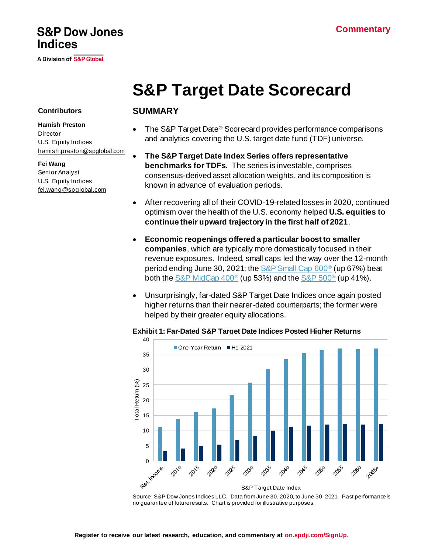# **S&P Dow Jones Indices**

A Division of S&P Global

# **S&P Target Date Scorecard**

#### **Contributors**

#### **Hamish Preston**

**Director** U.S. Equity Indices [hamish.preston@spglobal.com](mailto:hamish.preston@spglobal.com/)

**Fei Wang** Senior Analyst U.S. Equity Indices [fei.wang@spglobal.com](mailto:fei.wang@spglobal.com)

### **SUMMARY**

- The S&P Target Date® Scorecard provides performance comparisons and analytics covering the U.S. target date fund (TDF) universe.
- **The S&P Target Date Index Series offers representative benchmarks for TDFs.** The series is investable, comprises consensus-derived asset allocation weights, and its composition is known in advance of evaluation periods.
- After recovering all of their COVID-19-related losses in 2020, continued optimism over the health of the U.S. economy helped **U.S. equities to continue their upward trajectory in the first half of 2021**.
- **Economic reopenings offered a particular boost to smaller companies**, which are typically more domestically focused in their revenue exposures. Indeed, small caps led the way over the 12-month period ending June 30, 2021; th[e S&P Small Cap 600](https://spglobal.com/spdji/en/indices/equity/sp-600/?utm_source=pdf_research)<sup>®</sup> (up 67%) beat both th[e S&P MidCap 400](https://spglobal.com/spdji/en/indices/equity/sp-400/?utm_source=pdf_research)® (up 53%) and th[e S&P 500](https://spglobal.com/spdji/en/indices/equity/sp-500/?utm_source=pdf_research)® (up 41%).
- Unsurprisingly, far-dated S&P Target Date Indices once again posted higher returns than their nearer-dated counterparts; the former were helped by their greater equity allocations.



#### **Exhibit 1: Far-Dated S&P Target Date Indices Posted Higher Returns**

Source: S&P Dow Jones Indices LLC. Data from June 30, 2020, to June 30, 2021. Past performance is no guarantee of future results. Chart is provided for illustrative purposes.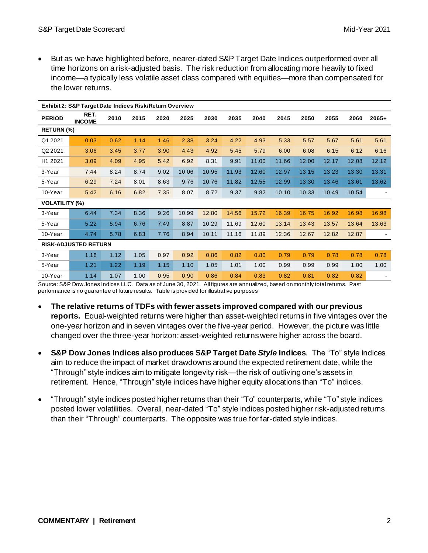• But as we have highlighted before, nearer-dated S&P Target Date Indices outperformed over all time horizons on a risk-adjusted basis. The risk reduction from allocating more heavily to fixed income—a typically less volatile asset class compared with equities—more than compensated for the lower returns.

| Exhibit 2: S&P Target Date Indices Risk/Return Overview |                       |      |      |      |       |       |       |       |       |       |       |       |         |
|---------------------------------------------------------|-----------------------|------|------|------|-------|-------|-------|-------|-------|-------|-------|-------|---------|
| <b>PERIOD</b>                                           | RET.<br><b>INCOME</b> | 2010 | 2015 | 2020 | 2025  | 2030  | 2035  | 2040  | 2045  | 2050  | 2055  | 2060  | $2065+$ |
| <b>RETURN (%)</b>                                       |                       |      |      |      |       |       |       |       |       |       |       |       |         |
| Q1 2021                                                 | 0.03                  | 0.62 | 1.14 | 1.46 | 2.38  | 3.24  | 4.22  | 4.93  | 5.33  | 5.57  | 5.67  | 5.61  | 5.61    |
| Q2 2021                                                 | 3.06                  | 3.45 | 3.77 | 3.90 | 4.43  | 4.92  | 5.45  | 5.79  | 6.00  | 6.08  | 6.15  | 6.12  | 6.16    |
| H1 2021                                                 | 3.09                  | 4.09 | 4.95 | 5.42 | 6.92  | 8.31  | 9.91  | 11.00 | 11.66 | 12.00 | 12.17 | 12.08 | 12.12   |
| 3-Year                                                  | 7.44                  | 8.24 | 8.74 | 9.02 | 10.06 | 10.95 | 11.93 | 12.60 | 12.97 | 13.15 | 13.23 | 13.30 | 13.31   |
| 5-Year                                                  | 6.29                  | 7.24 | 8.01 | 8.63 | 9.76  | 10.76 | 11.82 | 12.55 | 12.99 | 13.30 | 13.46 | 13.61 | 13.62   |
| 10-Year                                                 | 5.42                  | 6.16 | 6.82 | 7.35 | 8.07  | 8.72  | 9.37  | 9.82  | 10.10 | 10.33 | 10.49 | 10.54 |         |
| <b>VOLATILITY (%)</b>                                   |                       |      |      |      |       |       |       |       |       |       |       |       |         |
| 3-Year                                                  | 6.44                  | 7.34 | 8.36 | 9.26 | 10.99 | 12.80 | 14.56 | 15.72 | 16.39 | 16.75 | 16.92 | 16.98 | 16.98   |
| 5-Year                                                  | 5.22                  | 5.94 | 6.76 | 7.49 | 8.87  | 10.29 | 11.69 | 12.60 | 13.14 | 13.43 | 13.57 | 13.64 | 13.63   |
| 10-Year                                                 | 4.74                  | 5.78 | 6.83 | 7.76 | 8.94  | 10.11 | 11.16 | 11.89 | 12.36 | 12.67 | 12.82 | 12.87 |         |
| <b>RISK-ADJUSTED RETURN</b>                             |                       |      |      |      |       |       |       |       |       |       |       |       |         |
| 3-Year                                                  | 1.16                  | 1.12 | 1.05 | 0.97 | 0.92  | 0.86  | 0.82  | 0.80  | 0.79  | 0.79  | 0.78  | 0.78  | 0.78    |
| 5-Year                                                  | 1.21                  | 1.22 | 1.19 | 1.15 | 1.10  | 1.05  | 1.01  | 1.00  | 0.99  | 0.99  | 0.99  | 1.00  | 1.00    |
| 10-Year                                                 | 1.14                  | 1.07 | 1.00 | 0.95 | 0.90  | 0.86  | 0.84  | 0.83  | 0.82  | 0.81  | 0.82  | 0.82  |         |

Source: S&P Dow Jones Indices LLC. Data as of June 30, 2021. All figures are annualized, based on monthly total returns. Past performance is no guarantee of future results. Table is provided for illustrative purposes

- **The relative returns of TDFs with fewer assets improved compared with our previous reports.** Equal-weighted returns were higher than asset-weighted returns in five vintages over the one-year horizon and in seven vintages over the five-year period. However, the picture was little changed over the three-year horizon; asset-weighted returns were higher across the board.
- **S&P Dow Jones Indices also produces S&P Target Date** *Style* **Indices**. The "To" style indices aim to reduce the impact of market drawdowns around the expected retirement date, while the "Through" style indices aim to mitigate longevity risk—the risk of outliving one's assets in retirement. Hence, "Through" style indices have higher equity allocations than "To" indices.
- "Through" style indices posted higher returns than their "To" counterparts, while "To" style indices posted lower volatilities. Overall, near-dated "To" style indices posted higher risk-adjusted returns than their "Through" counterparts. The opposite was true for far-dated style indices.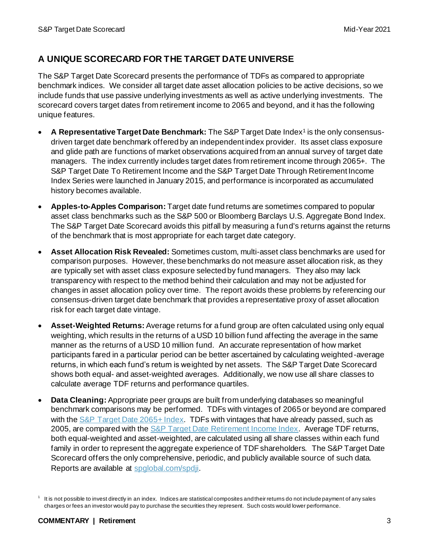# **A UNIQUE SCORECARD FOR THE TARGET DATE UNIVERSE**

The S&P Target Date Scorecard presents the performance of TDFs as compared to appropriate benchmark indices. We consider all target date asset allocation policies to be active decisions, so we include funds that use passive underlying investments as well as active underlying investments. The scorecard covers target dates from retirement income to 2065 and beyond, and it has the following unique features.

- A Representative Target Date Benchmark: The S&P Target Date Index<sup>1</sup> is the only consensusdriven target date benchmark offered by an independent index provider. Its asset class exposure and glide path are functions of market observations acquired from an annual survey of target date managers. The index currently includes target dates from retirement income through 2065+. The S&P Target Date To Retirement Income and the S&P Target Date Through Retirement Income Index Series were launched in January 2015, and performance is incorporated as accumulated history becomes available.
- **Apples-to-Apples Comparison:** Target date fund returns are sometimes compared to popular asset class benchmarks such as the S&P 500 or Bloomberg Barclays U.S. Aggregate Bond Index. The S&P Target Date Scorecard avoids this pitfall by measuring a fund's returns against the returns of the benchmark that is most appropriate for each target date category.
- **Asset Allocation Risk Revealed:** Sometimes custom, multi-asset class benchmarks are used for comparison purposes. However, these benchmarks do not measure asset allocation risk, as they are typically set with asset class exposure selected by fund managers. They also may lack transparency with respect to the method behind their calculation and may not be adjusted for changes in asset allocation policy over time. The report avoids these problems by referencing our consensus-driven target date benchmark that provides a representative proxy of asset allocation risk for each target date vintage.
- **Asset-Weighted Returns:** Average returns for a fund group are often calculated using only equal weighting, which results in the returns of a USD 10 billion fund affecting the average in the same manner as the returns of a USD 10 million fund. An accurate representation of how market participants fared in a particular period can be better ascertained by calculating weighted-average returns, in which each fund's return is weighted by net assets. The S&P Target Date Scorecard shows both equal- and asset-weighted averages. Additionally, we now use all share classes to calculate average TDF returns and performance quartiles.
- **Data Cleaning:** Appropriate peer groups are built from underlying databases so meaningful benchmark comparisons may be performed. TDFs with vintages of 2065 or beyond are compared with th[e S&P Target Date 2065+ Index](https://www.spglobal.com/spdji/en/indices/multi-asset/sp-target-date-2065-index?utm_source=pdf_research). TDFs with vintages that have already passed, such as 2005, are compared with th[e S&P Target Date Retirement Income Index](https://spglobal.com/spdji/en/indices/multi-asset/sp-target-date-retirement-income-index?utm_source=pdf_research). Average TDF returns, both equal-weighted and asset-weighted, are calculated using all share classes within each fund family in order to represent the aggregate experience of TDF shareholders. The S&P Target Date Scorecard offers the only comprehensive, periodic, and publicly available source of such data. Reports are available at [spglobal.com/spdji](https://www.spglobal.com/spdji/en?utm_source=pdf_research).

<sup>1</sup> It is not possible to invest directly in an index. Indices are statistical composites and their returns do not include payment of any sales charges or fees an investor would pay to purchase the securities they represent. Such costs would lower performance.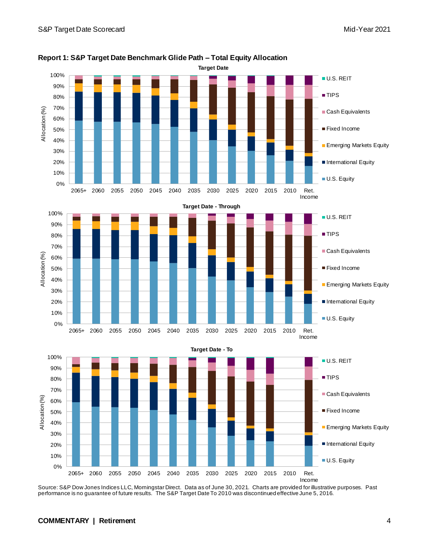

**Report 1: S&P Target Date Benchmark Glide Path – Total Equity Allocation**

Source: S&P Dow Jones Indices LLC, Morningstar Direct. Data as of June 30, 2021. Charts are provided for illustrative purposes. Past performance is no guarantee of future results. The S&P Target Date To 2010 was discontinued effective June 5, 2016.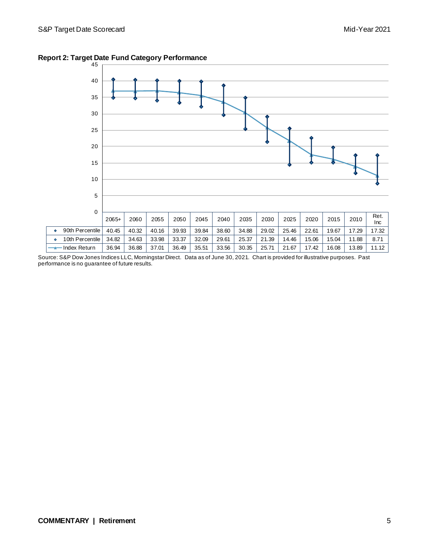

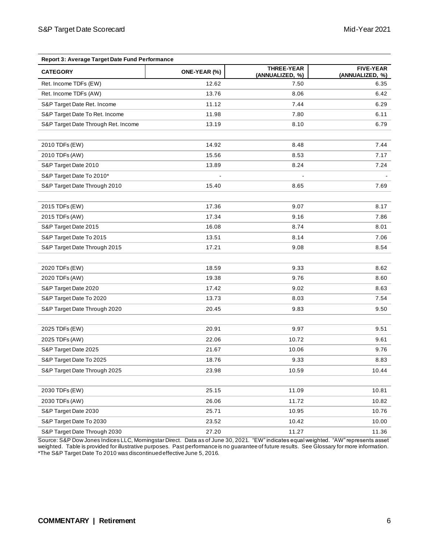| Report 3: Average Target Date Fund Performance |              |                                      |                                     |  |  |  |  |
|------------------------------------------------|--------------|--------------------------------------|-------------------------------------|--|--|--|--|
| <b>CATEGORY</b>                                | ONE-YEAR (%) | <b>THREE-YEAR</b><br>(ANNUALIZED, %) | <b>FIVE-YEAR</b><br>(ANNUALIZED, %) |  |  |  |  |
| Ret. Income TDFs (EW)                          | 12.62        | 7.50                                 | 6.35                                |  |  |  |  |
| Ret. Income TDFs (AW)                          | 13.76        | 8.06                                 | 6.42                                |  |  |  |  |
| S&P Target Date Ret. Income                    | 11.12        | 7.44                                 | 6.29                                |  |  |  |  |
| S&P Target Date To Ret. Income                 | 11.98        | 7.80                                 | 6.11                                |  |  |  |  |
| S&P Target Date Through Ret. Income            | 13.19        | 8.10                                 | 6.79                                |  |  |  |  |
|                                                |              |                                      |                                     |  |  |  |  |
| 2010 TDFs (EW)                                 | 14.92        | 8.48                                 | 7.44                                |  |  |  |  |
| 2010 TDFs (AW)                                 | 15.56        | 8.53                                 | 7.17                                |  |  |  |  |
| S&P Target Date 2010                           | 13.89        | 8.24                                 | 7.24                                |  |  |  |  |
| S&P Target Date To 2010*                       |              |                                      |                                     |  |  |  |  |
| S&P Target Date Through 2010                   | 15.40        | 8.65                                 | 7.69                                |  |  |  |  |
| 2015 TDFs (EW)                                 | 17.36        | 9.07                                 | 8.17                                |  |  |  |  |
| 2015 TDFs (AW)                                 | 17.34        | 9.16                                 | 7.86                                |  |  |  |  |
| S&P Target Date 2015                           | 16.08        | 8.74                                 | 8.01                                |  |  |  |  |
| S&P Target Date To 2015                        | 13.51        | 8.14                                 | 7.06                                |  |  |  |  |
| S&P Target Date Through 2015                   | 17.21        | 9.08                                 | 8.54                                |  |  |  |  |
|                                                |              |                                      |                                     |  |  |  |  |
| 2020 TDFs (EW)                                 | 18.59        | 9.33                                 | 8.62                                |  |  |  |  |
| 2020 TDFs (AW)                                 | 19.38        | 9.76                                 | 8.60                                |  |  |  |  |
| S&P Target Date 2020                           | 17.42        | 9.02                                 | 8.63                                |  |  |  |  |
| S&P Target Date To 2020                        | 13.73        | 8.03                                 | 7.54                                |  |  |  |  |
| S&P Target Date Through 2020                   | 20.45        | 9.83                                 | 9.50                                |  |  |  |  |
|                                                |              |                                      |                                     |  |  |  |  |
| 2025 TDFs (EW)                                 | 20.91        | 9.97                                 | 9.51                                |  |  |  |  |
| 2025 TDFs (AW)                                 | 22.06        | 10.72                                | 9.61                                |  |  |  |  |
| S&P Target Date 2025                           | 21.67        | 10.06                                | 9.76                                |  |  |  |  |
| S&P Target Date To 2025                        | 18.76        | 9.33                                 | 8.83                                |  |  |  |  |
| S&P Target Date Through 2025                   | 23.98        | 10.59                                | 10.44                               |  |  |  |  |
| 2030 TDFs (EW)                                 | 25.15        | 11.09                                | 10.81                               |  |  |  |  |
| 2030 TDFs (AW)                                 | 26.06        | 11.72                                | 10.82                               |  |  |  |  |
| S&P Target Date 2030                           | 25.71        | 10.95                                | 10.76                               |  |  |  |  |
| S&P Target Date To 2030                        | 23.52        | 10.42                                | 10.00                               |  |  |  |  |
| S&P Target Date Through 2030                   | 27.20        | 11.27                                | 11.36                               |  |  |  |  |
|                                                |              |                                      |                                     |  |  |  |  |

Source: S&P Dow Jones Indices LLC, Morningstar Direct. Data as of June 30, 2021. "EW" indicates equal weighted. "AW" represents asset weighted. Table is provided for illustrative purposes. Past performance is no guarantee of future results. See Glossary for more information. \*The S&P Target Date To 2010 was discontinued effective June 5, 2016.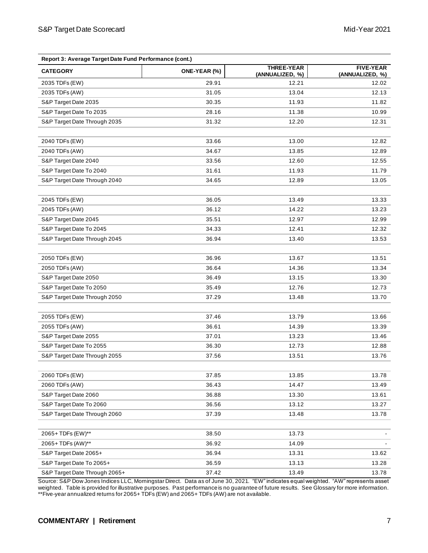| Report 3: Average Target Date Fund Performance (cont.) |              |                                      |                                     |  |  |  |  |
|--------------------------------------------------------|--------------|--------------------------------------|-------------------------------------|--|--|--|--|
| <b>CATEGORY</b>                                        | ONE-YEAR (%) | <b>THREE-YEAR</b><br>(ANNUALIZED, %) | <b>FIVE-YEAR</b><br>(ANNUALIZED, %) |  |  |  |  |
| 2035 TDFs (EW)                                         | 29.91        | 12.21                                | 12.02                               |  |  |  |  |
| 2035 TDFs (AW)                                         | 31.05        | 13.04                                | 12.13                               |  |  |  |  |
| S&P Target Date 2035                                   | 30.35        | 11.93                                | 11.82                               |  |  |  |  |
| S&P Target Date To 2035                                | 28.16        | 11.38                                | 10.99                               |  |  |  |  |
| S&P Target Date Through 2035                           | 31.32        | 12.20                                | 12.31                               |  |  |  |  |
|                                                        |              |                                      |                                     |  |  |  |  |
| 2040 TDFs (EW)                                         | 33.66        | 13.00                                | 12.82                               |  |  |  |  |
| 2040 TDFs (AW)                                         | 34.67        | 13.85                                | 12.89                               |  |  |  |  |
| S&P Target Date 2040                                   | 33.56        | 12.60                                | 12.55                               |  |  |  |  |
| S&P Target Date To 2040                                | 31.61        | 11.93                                | 11.79                               |  |  |  |  |
| S&P Target Date Through 2040                           | 34.65        | 12.89                                | 13.05                               |  |  |  |  |
|                                                        |              |                                      |                                     |  |  |  |  |
| 2045 TDFs (EW)                                         | 36.05        | 13.49                                | 13.33                               |  |  |  |  |
| 2045 TDFs (AW)                                         | 36.12        | 14.22                                | 13.23                               |  |  |  |  |
| S&P Target Date 2045                                   | 35.51        | 12.97                                | 12.99                               |  |  |  |  |
| S&P Target Date To 2045                                | 34.33        | 12.41                                | 12.32                               |  |  |  |  |
| S&P Target Date Through 2045                           | 36.94        | 13.40                                | 13.53                               |  |  |  |  |
|                                                        |              |                                      |                                     |  |  |  |  |
| 2050 TDFs (EW)                                         | 36.96        | 13.67                                | 13.51                               |  |  |  |  |
| 2050 TDFs (AW)                                         | 36.64        | 14.36                                | 13.34                               |  |  |  |  |
| S&P Target Date 2050                                   | 36.49        | 13.15                                | 13.30                               |  |  |  |  |
| S&P Target Date To 2050                                | 35.49        | 12.76                                | 12.73                               |  |  |  |  |
| S&P Target Date Through 2050                           | 37.29        | 13.48                                | 13.70                               |  |  |  |  |
| 2055 TDFs (EW)                                         | 37.46        | 13.79                                | 13.66                               |  |  |  |  |
| 2055 TDFs (AW)                                         | 36.61        | 14.39                                | 13.39                               |  |  |  |  |
| S&P Target Date 2055                                   | 37.01        | 13.23                                | 13.46                               |  |  |  |  |
| S&P Target Date To 2055                                | 36.30        | 12.73                                | 12.88                               |  |  |  |  |
| S&P Target Date Through 2055                           | 37.56        | 13.51                                | 13.76                               |  |  |  |  |
|                                                        |              |                                      |                                     |  |  |  |  |
| 2060 TDFs (EW)                                         | 37.85        | 13.85                                | 13.78                               |  |  |  |  |
| 2060 TDFs (AW)                                         | 36.43        | 14.47                                | 13.49                               |  |  |  |  |
| S&P Target Date 2060                                   | 36.88        | 13.30                                | 13.61                               |  |  |  |  |
| S&P Target Date To 2060                                | 36.56        | 13.12                                | 13.27                               |  |  |  |  |
| S&P Target Date Through 2060                           | 37.39        | 13.48                                | 13.78                               |  |  |  |  |
|                                                        |              |                                      |                                     |  |  |  |  |
| 2065+TDFs (EW)**                                       | 38.50        | 13.73                                |                                     |  |  |  |  |
| 2065+TDFs (AW)**                                       | 36.92        | 14.09                                |                                     |  |  |  |  |
| S&P Target Date 2065+                                  | 36.94        | 13.31                                | 13.62                               |  |  |  |  |
| S&P Target Date To 2065+                               | 36.59        | 13.13                                | 13.28                               |  |  |  |  |
| S&P Target Date Through 2065+                          | 37.42        | 13.49                                | 13.78                               |  |  |  |  |

Source: S&P Dow Jones Indices LLC, Morningstar Direct. Data as of June 30, 2021. "EW" indicates equal weighted. "AW" represents asset weighted. Table is provided for illustrative purposes. Past performance is no guarantee of future results. See Glossary for more information. \*\*Five-year annualized returns for 2065+ TDFs (EW) and 2065+ TDFs (AW) are not available.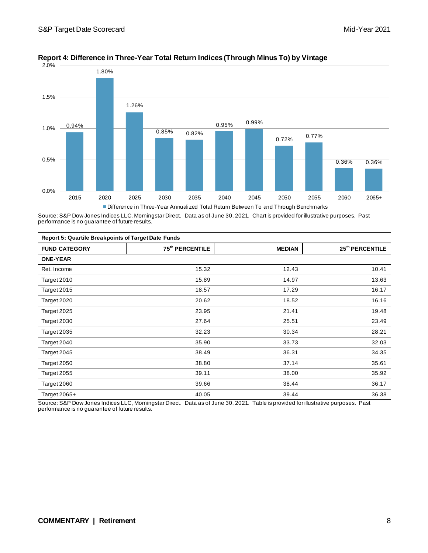

#### **Report 4: Difference in Three-Year Total Return Indices (Through Minus To) by Vintage**

Source: S&P Dow Jones Indices LLC, Morningstar Direct. Data as of June 30, 2021. Chart is provided for illustrative purposes. Past performance is no guarantee of future results.

| <b>Report 5: Quartile Breakpoints of Target Date Funds</b> |                             |               |                             |  |  |
|------------------------------------------------------------|-----------------------------|---------------|-----------------------------|--|--|
| <b>FUND CATEGORY</b>                                       | 75 <sup>th</sup> PERCENTILE | <b>MEDIAN</b> | 25 <sup>th</sup> PERCENTILE |  |  |
| <b>ONE-YEAR</b>                                            |                             |               |                             |  |  |
| Ret. Income                                                | 15.32                       | 12.43         | 10.41                       |  |  |
| Target 2010                                                | 15.89                       | 14.97         | 13.63                       |  |  |
| Target 2015                                                | 18.57                       | 17.29         | 16.17                       |  |  |
| Target 2020                                                | 20.62                       | 18.52         | 16.16                       |  |  |
| Target 2025                                                | 23.95                       | 21.41         | 19.48                       |  |  |
| Target 2030                                                | 27.64                       | 25.51         | 23.49                       |  |  |
| Target 2035                                                | 32.23                       | 30.34         | 28.21                       |  |  |
| Target 2040                                                | 35.90                       | 33.73         | 32.03                       |  |  |
| Target 2045                                                | 38.49                       | 36.31         | 34.35                       |  |  |
| Target 2050                                                | 38.80                       | 37.14         | 35.61                       |  |  |
| Target 2055                                                | 39.11                       | 38.00         | 35.92                       |  |  |
| Target 2060                                                | 39.66                       | 38.44         | 36.17                       |  |  |
| Target $2065+$                                             | 40.05                       | 39.44         | 36.38                       |  |  |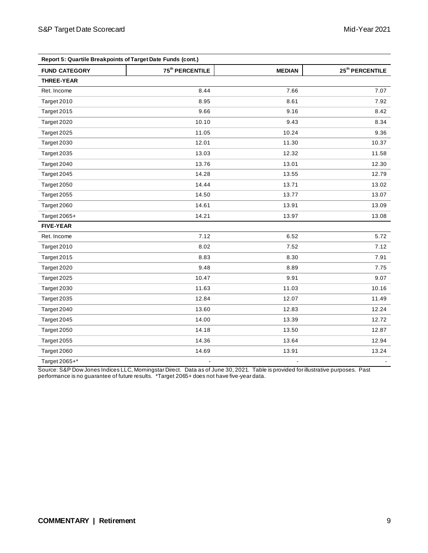| Report 5: Quartile Breakpoints of Target Date Funds (cont.) |                             |               |                             |  |  |  |
|-------------------------------------------------------------|-----------------------------|---------------|-----------------------------|--|--|--|
| <b>FUND CATEGORY</b>                                        | 75 <sup>th</sup> PERCENTILE | <b>MEDIAN</b> | 25 <sup>th</sup> PERCENTILE |  |  |  |
| <b>THREE-YEAR</b>                                           |                             |               |                             |  |  |  |
| Ret. Income                                                 | 8.44                        | 7.66          | 7.07                        |  |  |  |
| Target 2010                                                 | 8.95                        | 8.61          | 7.92                        |  |  |  |
| Target 2015                                                 | 9.66                        | 9.16          | 8.42                        |  |  |  |
| Target 2020                                                 | 10.10                       | 9.43          | 8.34                        |  |  |  |
| Target 2025                                                 | 11.05                       | 10.24         | 9.36                        |  |  |  |
| Target 2030                                                 | 12.01                       | 11.30         | 10.37                       |  |  |  |
| Target 2035                                                 | 13.03                       | 12.32         | 11.58                       |  |  |  |
| Target 2040                                                 | 13.76                       | 13.01         | 12.30                       |  |  |  |
| Target 2045                                                 | 14.28                       | 13.55         | 12.79                       |  |  |  |
| Target 2050                                                 | 14.44                       | 13.71         | 13.02                       |  |  |  |
| Target 2055                                                 | 14.50                       | 13.77         | 13.07                       |  |  |  |
| Target 2060                                                 | 14.61                       | 13.91         | 13.09                       |  |  |  |
| Target 2065+                                                | 14.21                       | 13.97         | 13.08                       |  |  |  |
| <b>FIVE-YEAR</b>                                            |                             |               |                             |  |  |  |
| Ret. Income                                                 | 7.12                        | 6.52          | 5.72                        |  |  |  |
| Target 2010                                                 | 8.02                        | 7.52          | 7.12                        |  |  |  |
| Target 2015                                                 | 8.83                        | 8.30          | 7.91                        |  |  |  |
| Target 2020                                                 | 9.48                        | 8.89          | 7.75                        |  |  |  |
| Target 2025                                                 | 10.47                       | 9.91          | 9.07                        |  |  |  |
| Target 2030                                                 | 11.63                       | 11.03         | 10.16                       |  |  |  |
| Target 2035                                                 | 12.84                       | 12.07         | 11.49                       |  |  |  |
| Target 2040                                                 | 13.60                       | 12.83         | 12.24                       |  |  |  |
| Target 2045                                                 | 14.00                       | 13.39         | 12.72                       |  |  |  |
| Target 2050                                                 | 14.18                       | 13.50         | 12.87                       |  |  |  |
| Target 2055                                                 | 14.36                       | 13.64         | 12.94                       |  |  |  |
| Target 2060                                                 | 14.69                       | 13.91         | 13.24                       |  |  |  |
| Target 2065+*                                               | ä,                          |               |                             |  |  |  |

Source: S&P Dow Jones Indices LLC, Morningstar Direct. Data as of June 30, 2021. Table is provided for illustrative purposes. Past performance is no guarantee of future results. \*Target 2065+ does not have five-year data.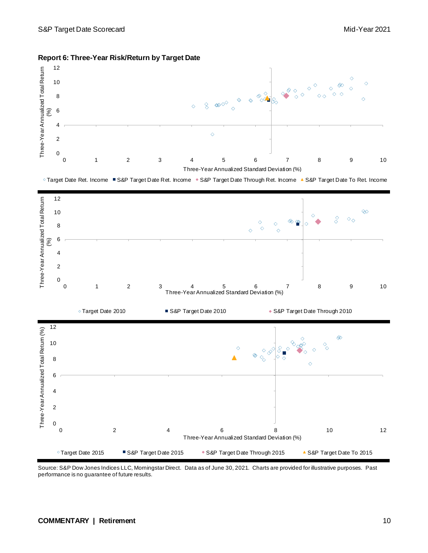

#### **Report 6: Three-Year Risk/Return by Target Date**

© Target Date Ret. Income ■ S&P Target Date Ret. Income · S&P Target Date Through Ret. Income A S&P Target Date To Ret. Income

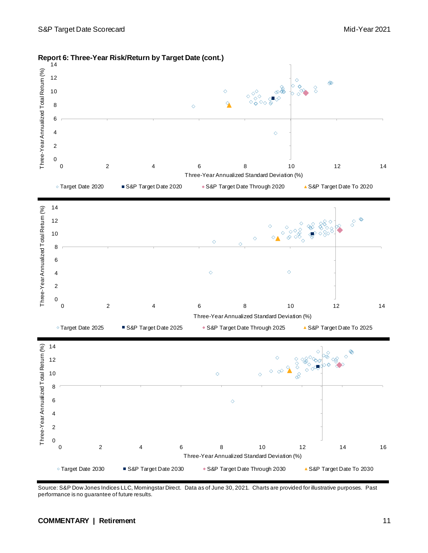

#### **Report 6: Three-Year Risk/Return by Target Date (cont.)**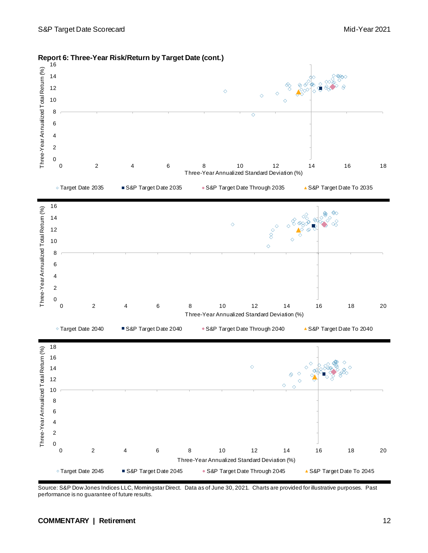

**Report 6: Three-Year Risk/Return by Target Date (cont.)**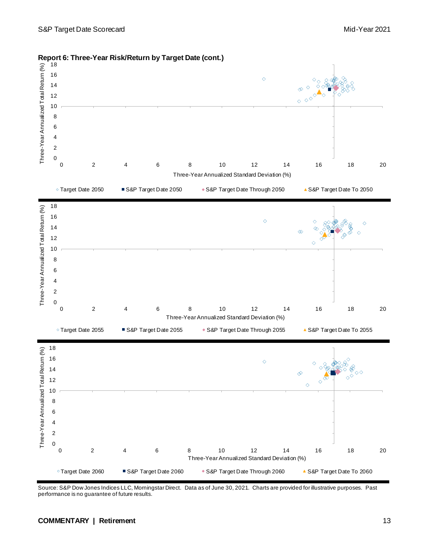

#### **Report 6: Three-Year Risk/Return by Target Date (cont.)**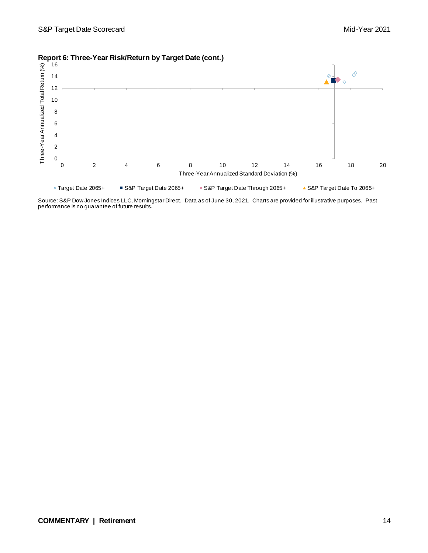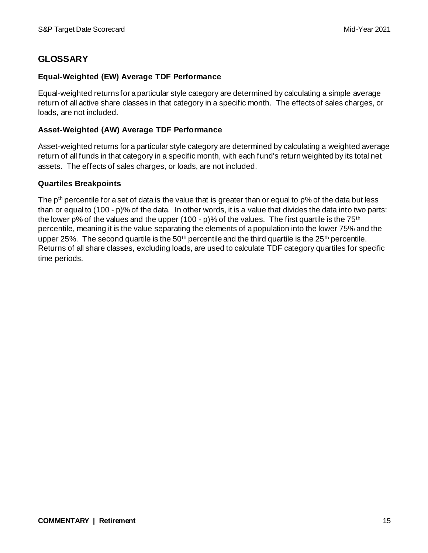# **GLOSSARY**

#### **Equal-Weighted (EW) Average TDF Performance**

Equal-weighted returns for a particular style category are determined by calculating a simple average return of all active share classes in that category in a specific month. The effects of sales charges, or loads, are not included.

### **Asset-Weighted (AW) Average TDF Performance**

Asset-weighted returns for a particular style category are determined by calculating a weighted average return of all funds in that category in a specific month, with each fund's return weighted by its total net assets. The effects of sales charges, or loads, are not included.

#### **Quartiles Breakpoints**

The p<sup>th</sup> percentile for a set of data is the value that is greater than or equal to p% of the data but less than or equal to (100 - p)% of the data. In other words, it is a value that divides the data into two parts: the lower p% of the values and the upper (100 - p)% of the values. The first quartile is the 75<sup>th</sup> percentile, meaning it is the value separating the elements of a population into the lower 75% and the upper 25%. The second quartile is the 50<sup>th</sup> percentile and the third quartile is the 25<sup>th</sup> percentile. Returns of all share classes, excluding loads, are used to calculate TDF category quartiles for specific time periods.